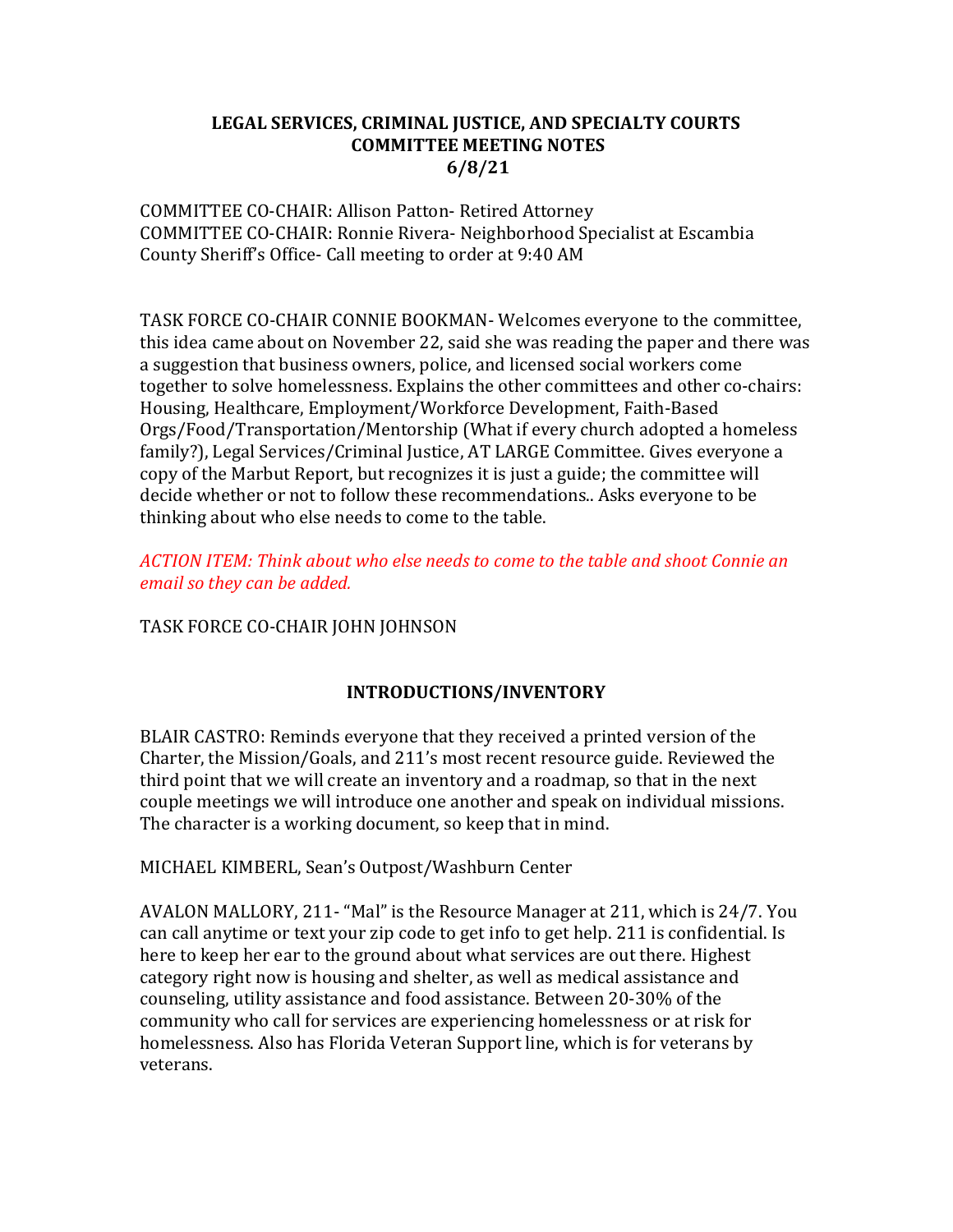## LEGAL SERVICES, CRIMINAL JUSTICE, AND SPECIALTY COURTS COMMITTEE MEETING NOTES 6/8/21

COMMITTEE CO-CHAIR: Allison Patton- Retired Attorney COMMITTEE CO-CHAIR: Ronnie Rivera- Neighborhood Specialist at Escambia County Sheriff's Office- Call meeting to order at 9:40 AM

TASK FORCE CO-CHAIR CONNIE BOOKMAN- Welcomes everyone to the committee, this idea came about on November 22, said she was reading the paper and there was a suggestion that business owners, police, and licensed social workers come together to solve homelessness. Explains the other committees and other co-chairs: Housing, Healthcare, Employment/Workforce Development, Faith-Based Orgs/Food/Transportation/Mentorship (What if every church adopted a homeless family?), Legal Services/Criminal Justice, AT LARGE Committee. Gives everyone a copy of the Marbut Report, but recognizes it is just a guide; the committee will decide whether or not to follow these recommendations.. Asks everyone to be thinking about who else needs to come to the table.

ACTION ITEM: Think about who else needs to come to the table and shoot Connie an email so they can be added.

TASK FORCE CO-CHAIR JOHN JOHNSON

# INTRODUCTIONS/INVENTORY

BLAIR CASTRO: Reminds everyone that they received a printed version of the Charter, the Mission/Goals, and 211's most recent resource guide. Reviewed the third point that we will create an inventory and a roadmap, so that in the next couple meetings we will introduce one another and speak on individual missions. The character is a working document, so keep that in mind.

MICHAEL KIMBERL, Sean's Outpost/Washburn Center

AVALON MALLORY, 211- "Mal" is the Resource Manager at 211, which is 24/7. You can call anytime or text your zip code to get info to get help. 211 is confidential. Is here to keep her ear to the ground about what services are out there. Highest category right now is housing and shelter, as well as medical assistance and counseling, utility assistance and food assistance. Between 20-30% of the community who call for services are experiencing homelessness or at risk for homelessness. Also has Florida Veteran Support line, which is for veterans by veterans.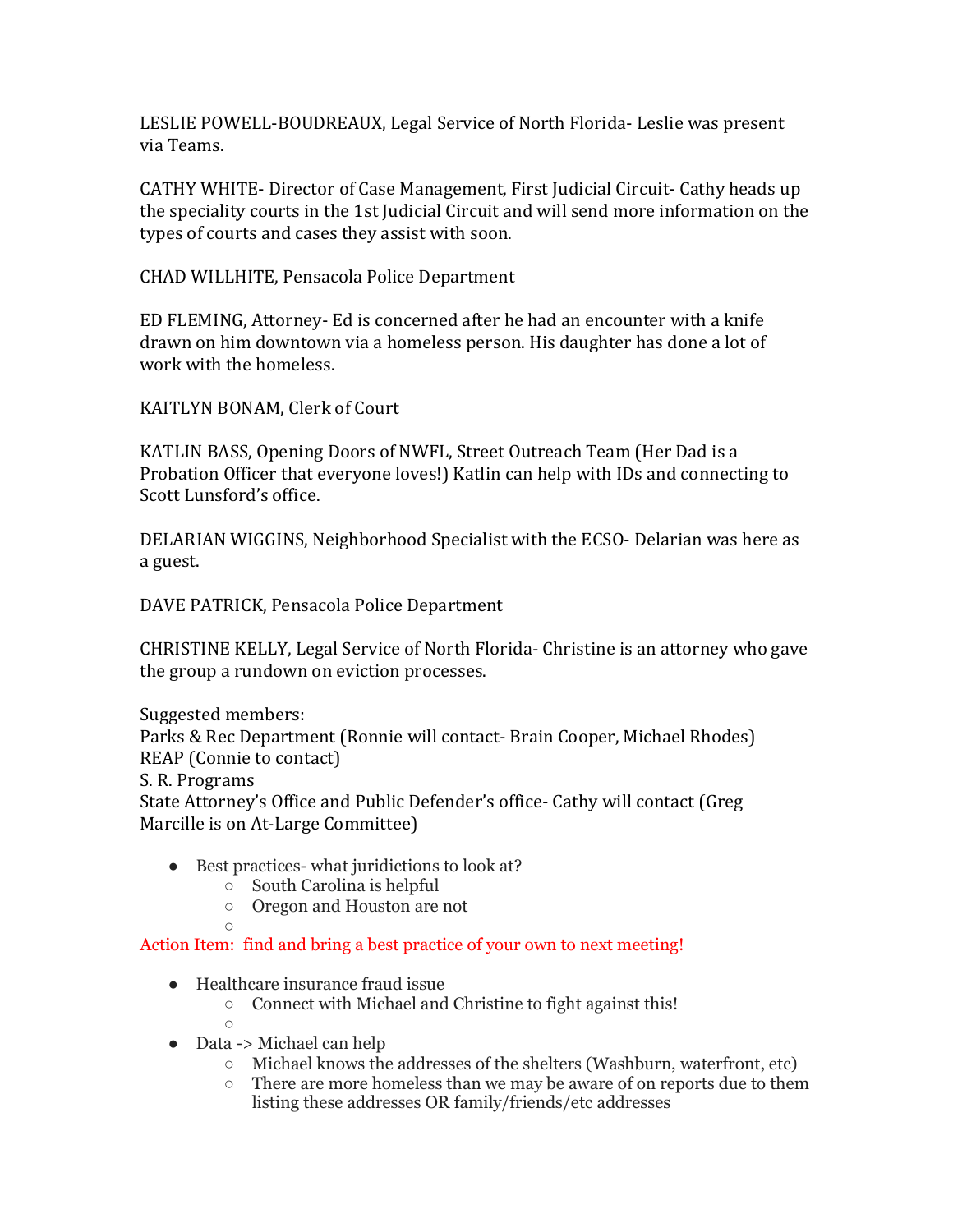LESLIE POWELL-BOUDREAUX, Legal Service of North Florida- Leslie was present via Teams.

CATHY WHITE- Director of Case Management, First Judicial Circuit- Cathy heads up the speciality courts in the 1st Judicial Circuit and will send more information on the types of courts and cases they assist with soon.

CHAD WILLHITE, Pensacola Police Department

ED FLEMING, Attorney- Ed is concerned after he had an encounter with a knife drawn on him downtown via a homeless person. His daughter has done a lot of work with the homeless.

KAITLYN BONAM, Clerk of Court

KATLIN BASS, Opening Doors of NWFL, Street Outreach Team (Her Dad is a Probation Officer that everyone loves!) Katlin can help with IDs and connecting to Scott Lunsford's office.

DELARIAN WIGGINS, Neighborhood Specialist with the ECSO- Delarian was here as a guest.

DAVE PATRICK, Pensacola Police Department

CHRISTINE KELLY, Legal Service of North Florida- Christine is an attorney who gave the group a rundown on eviction processes.

Suggested members: Parks & Rec Department (Ronnie will contact- Brain Cooper, Michael Rhodes) REAP (Connie to contact) S. R. Programs State Attorney's Office and Public Defender's office- Cathy will contact (Greg Marcille is on At-Large Committee)

- Best practices- what juridictions to look at?
	- South Carolina is helpful
	- Oregon and Houston are not

○

 $\Omega$ 

Action Item: find and bring a best practice of your own to next meeting!

- Healthcare insurance fraud issue
	- Connect with Michael and Christine to fight against this!
- Data -> Michael can help
	- $\circ$  Michael knows the addresses of the shelters (Washburn, waterfront, etc)
	- There are more homeless than we may be aware of on reports due to them listing these addresses OR family/friends/etc addresses